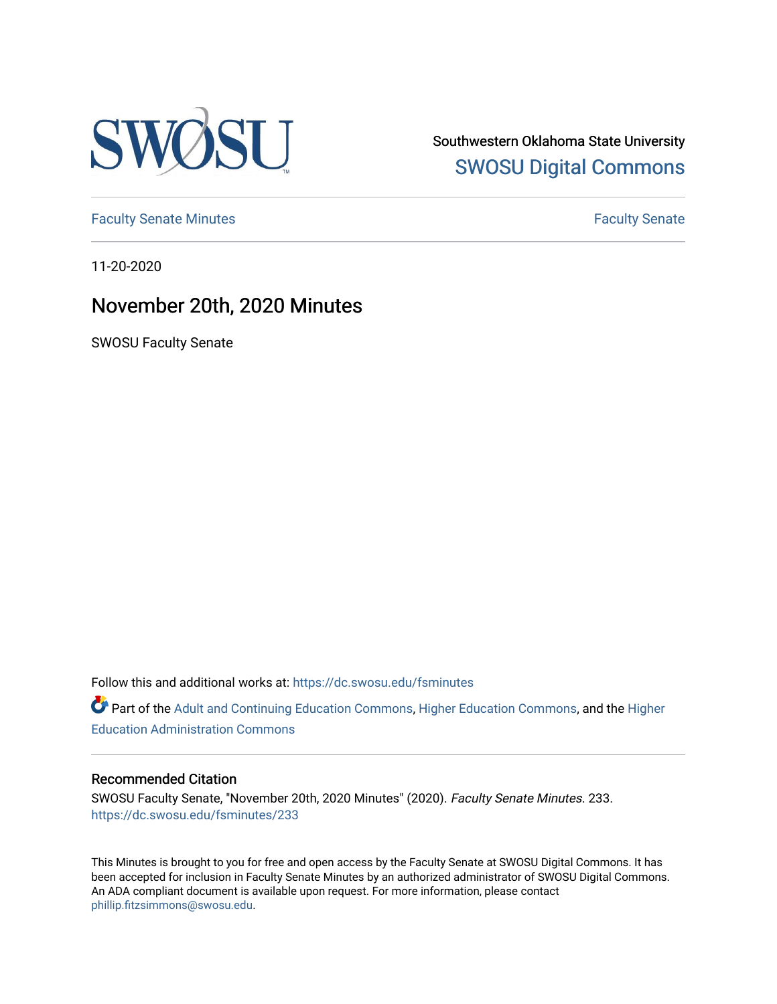

Southwestern Oklahoma State University [SWOSU Digital Commons](https://dc.swosu.edu/) 

[Faculty Senate Minutes](https://dc.swosu.edu/fsminutes) **Faculty** Senate Minutes

11-20-2020

# November 20th, 2020 Minutes

SWOSU Faculty Senate

Follow this and additional works at: [https://dc.swosu.edu/fsminutes](https://dc.swosu.edu/fsminutes?utm_source=dc.swosu.edu%2Ffsminutes%2F233&utm_medium=PDF&utm_campaign=PDFCoverPages) 

Part of the [Adult and Continuing Education Commons,](http://network.bepress.com/hgg/discipline/1375?utm_source=dc.swosu.edu%2Ffsminutes%2F233&utm_medium=PDF&utm_campaign=PDFCoverPages) [Higher Education Commons,](http://network.bepress.com/hgg/discipline/1245?utm_source=dc.swosu.edu%2Ffsminutes%2F233&utm_medium=PDF&utm_campaign=PDFCoverPages) and the [Higher](http://network.bepress.com/hgg/discipline/791?utm_source=dc.swosu.edu%2Ffsminutes%2F233&utm_medium=PDF&utm_campaign=PDFCoverPages) [Education Administration Commons](http://network.bepress.com/hgg/discipline/791?utm_source=dc.swosu.edu%2Ffsminutes%2F233&utm_medium=PDF&utm_campaign=PDFCoverPages) 

#### Recommended Citation

SWOSU Faculty Senate, "November 20th, 2020 Minutes" (2020). Faculty Senate Minutes. 233. [https://dc.swosu.edu/fsminutes/233](https://dc.swosu.edu/fsminutes/233?utm_source=dc.swosu.edu%2Ffsminutes%2F233&utm_medium=PDF&utm_campaign=PDFCoverPages) 

This Minutes is brought to you for free and open access by the Faculty Senate at SWOSU Digital Commons. It has been accepted for inclusion in Faculty Senate Minutes by an authorized administrator of SWOSU Digital Commons. An ADA compliant document is available upon request. For more information, please contact [phillip.fitzsimmons@swosu.edu](mailto:phillip.fitzsimmons@swosu.edu).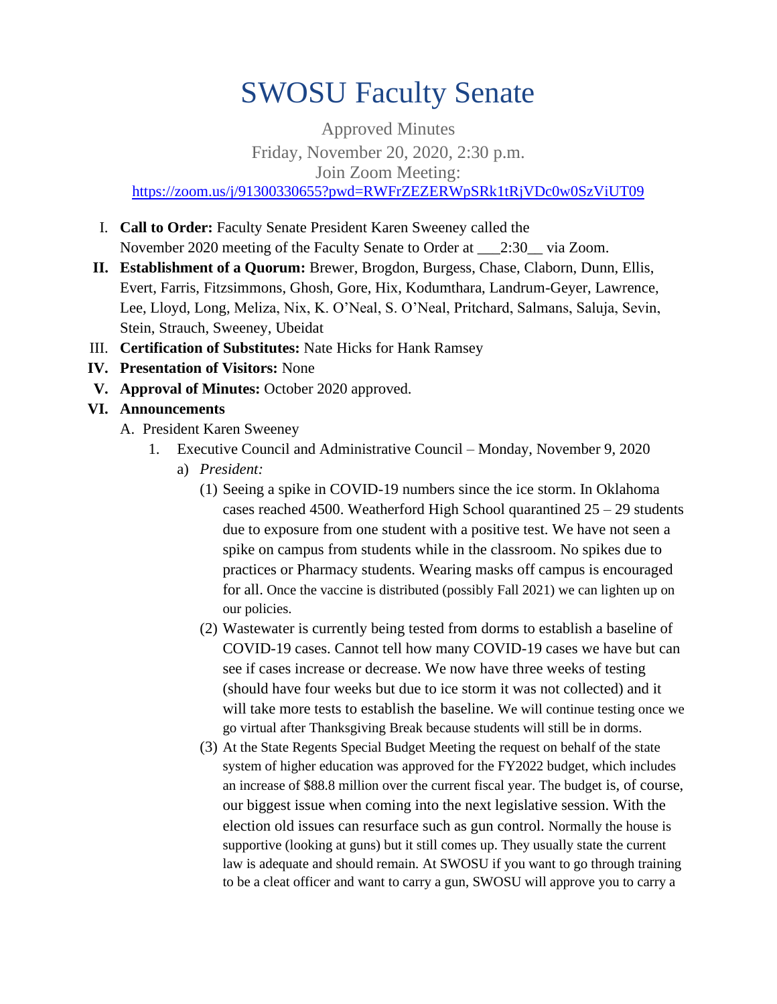# SWOSU Faculty Senate

Approved Minutes Friday, November 20, 2020, 2:30 p.m. Join Zoom Meeting: <https://zoom.us/j/91300330655?pwd=RWFrZEZERWpSRk1tRjVDc0w0SzViUT09>

- I. **Call to Order:** Faculty Senate President Karen Sweeney called the November 2020 meeting of the Faculty Senate to Order at  $2:30$  via Zoom.
- **II. Establishment of a Quorum:** Brewer, Brogdon, Burgess, Chase, Claborn, Dunn, Ellis, Evert, Farris, Fitzsimmons, Ghosh, Gore, Hix, Kodumthara, Landrum-Geyer, Lawrence, Lee, Lloyd, Long, Meliza, Nix, K. O'Neal, S. O'Neal, Pritchard, Salmans, Saluja, Sevin, Stein, Strauch, Sweeney, Ubeidat
- III. **Certification of Substitutes:** Nate Hicks for Hank Ramsey
- **IV. Presentation of Visitors:** None
- **V. Approval of Minutes:** October 2020 approved.
- **VI. Announcements**
	- A. President Karen Sweeney
		- 1. Executive Council and Administrative Council Monday, November 9, 2020
			- a) *President:*
				- (1) Seeing a spike in COVID-19 numbers since the ice storm. In Oklahoma cases reached 4500. Weatherford High School quarantined  $25 - 29$  students due to exposure from one student with a positive test. We have not seen a spike on campus from students while in the classroom. No spikes due to practices or Pharmacy students. Wearing masks off campus is encouraged for all. Once the vaccine is distributed (possibly Fall 2021) we can lighten up on our policies.
				- (2) Wastewater is currently being tested from dorms to establish a baseline of COVID-19 cases. Cannot tell how many COVID-19 cases we have but can see if cases increase or decrease. We now have three weeks of testing (should have four weeks but due to ice storm it was not collected) and it will take more tests to establish the baseline. We will continue testing once we go virtual after Thanksgiving Break because students will still be in dorms.
				- (3) At the State Regents Special Budget Meeting the request on behalf of the state system of higher education was approved for the FY2022 budget, which includes an increase of \$88.8 million over the current fiscal year. The budget is, of course, our biggest issue when coming into the next legislative session. With the election old issues can resurface such as gun control. Normally the house is supportive (looking at guns) but it still comes up. They usually state the current law is adequate and should remain. At SWOSU if you want to go through training to be a cleat officer and want to carry a gun, SWOSU will approve you to carry a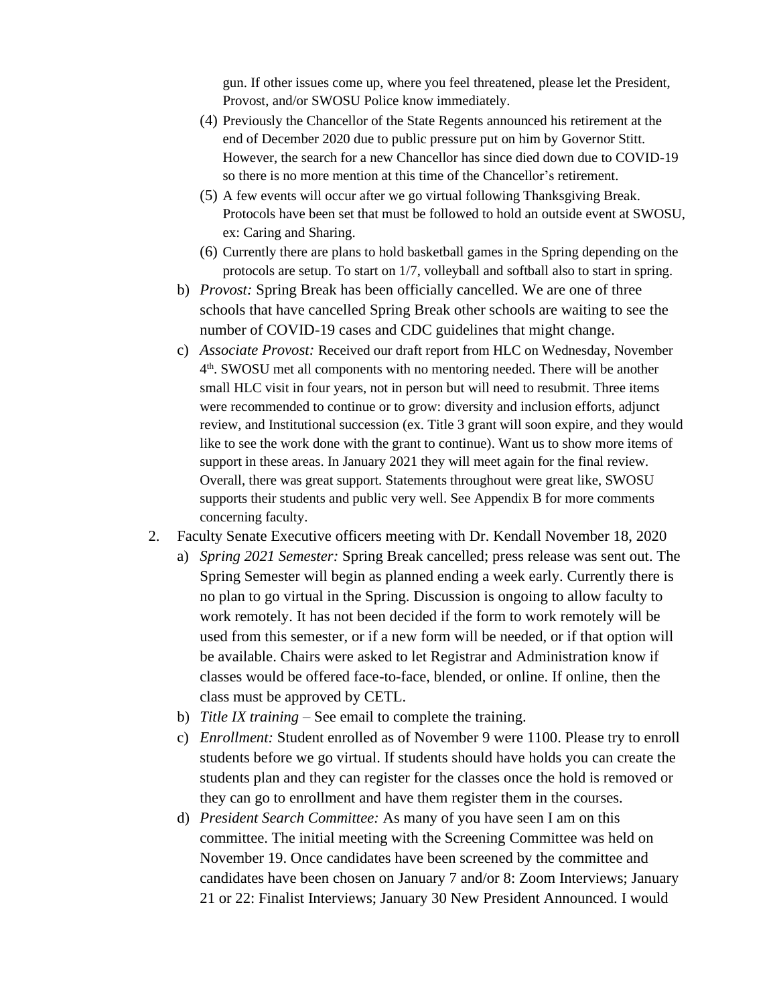gun. If other issues come up, where you feel threatened, please let the President, Provost, and/or SWOSU Police know immediately.

- (4) Previously the Chancellor of the State Regents announced his retirement at the end of December 2020 due to public pressure put on him by Governor Stitt. However, the search for a new Chancellor has since died down due to COVID-19 so there is no more mention at this time of the Chancellor's retirement.
- (5) A few events will occur after we go virtual following Thanksgiving Break. Protocols have been set that must be followed to hold an outside event at SWOSU, ex: Caring and Sharing.
- (6) Currently there are plans to hold basketball games in the Spring depending on the protocols are setup. To start on 1/7, volleyball and softball also to start in spring.
- b) *Provost:* Spring Break has been officially cancelled. We are one of three schools that have cancelled Spring Break other schools are waiting to see the number of COVID-19 cases and CDC guidelines that might change.
- c) *Associate Provost:* Received our draft report from HLC on Wednesday, November 4 th . SWOSU met all components with no mentoring needed. There will be another small HLC visit in four years, not in person but will need to resubmit. Three items were recommended to continue or to grow: diversity and inclusion efforts, adjunct review, and Institutional succession (ex. Title 3 grant will soon expire, and they would like to see the work done with the grant to continue). Want us to show more items of support in these areas. In January 2021 they will meet again for the final review. Overall, there was great support. Statements throughout were great like, SWOSU supports their students and public very well. See Appendix B for more comments concerning faculty.
- 2. Faculty Senate Executive officers meeting with Dr. Kendall November 18, 2020
	- a) *Spring 2021 Semester:* Spring Break cancelled; press release was sent out. The Spring Semester will begin as planned ending a week early. Currently there is no plan to go virtual in the Spring. Discussion is ongoing to allow faculty to work remotely. It has not been decided if the form to work remotely will be used from this semester, or if a new form will be needed, or if that option will be available. Chairs were asked to let Registrar and Administration know if classes would be offered face-to-face, blended, or online. If online, then the class must be approved by CETL.
	- b) *Title IX training –* See email to complete the training.
	- c) *Enrollment:* Student enrolled as of November 9 were 1100. Please try to enroll students before we go virtual. If students should have holds you can create the students plan and they can register for the classes once the hold is removed or they can go to enrollment and have them register them in the courses.
	- d) *President Search Committee:* As many of you have seen I am on this committee. The initial meeting with the Screening Committee was held on November 19. Once candidates have been screened by the committee and candidates have been chosen on January 7 and/or 8: Zoom Interviews; January 21 or 22: Finalist Interviews; January 30 New President Announced. I would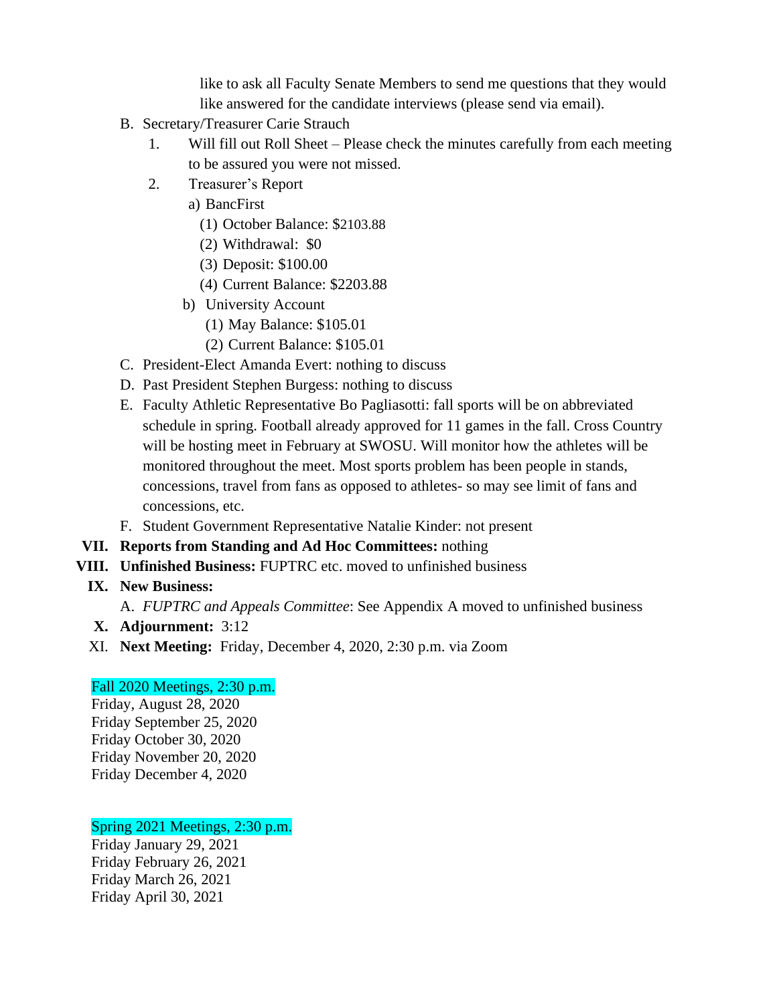like to ask all Faculty Senate Members to send me questions that they would like answered for the candidate interviews (please send via email).

- B. Secretary/Treasurer Carie Strauch
	- 1. Will fill out Roll Sheet Please check the minutes carefully from each meeting to be assured you were not missed.
	- 2. Treasurer's Report
		- a) BancFirst
			- (1) October Balance: \$2103.88
			- (2) Withdrawal: \$0
			- (3) Deposit: \$100.00
			- (4) Current Balance: \$2203.88
		- b) University Account
			- (1) May Balance: \$105.01
			- (2) Current Balance: \$105.01
- C. President-Elect Amanda Evert: nothing to discuss
- D. Past President Stephen Burgess: nothing to discuss
- E. Faculty Athletic Representative Bo Pagliasotti: fall sports will be on abbreviated schedule in spring. Football already approved for 11 games in the fall. Cross Country will be hosting meet in February at SWOSU. Will monitor how the athletes will be monitored throughout the meet. Most sports problem has been people in stands, concessions, travel from fans as opposed to athletes- so may see limit of fans and concessions, etc.
- F. Student Government Representative Natalie Kinder: not present
- **VII. Reports from Standing and Ad Hoc Committees:** nothing
- **VIII. Unfinished Business:** FUPTRC etc. moved to unfinished business
	- **IX. New Business:**

A. *FUPTRC and Appeals Committee*: See Appendix A moved to unfinished business

- **X. Adjournment:** 3:12
- XI. **Next Meeting:** Friday, December 4, 2020, 2:30 p.m. via Zoom

### Fall 2020 Meetings, 2:30 p.m.

Friday, August 28, 2020 Friday September 25, 2020 Friday October 30, 2020 Friday November 20, 2020 Friday December 4, 2020

### Spring 2021 Meetings, 2:30 p.m.

Friday January 29, 2021 Friday February 26, 2021 Friday March 26, 2021 Friday April 30, 2021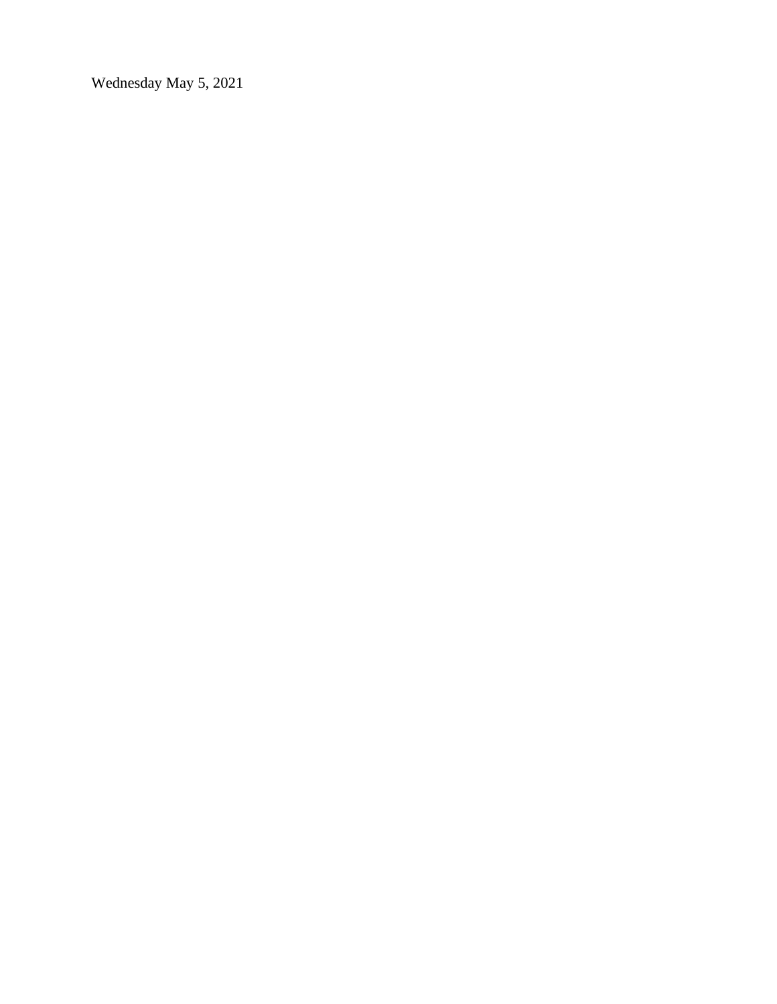Wednesday May 5, 2021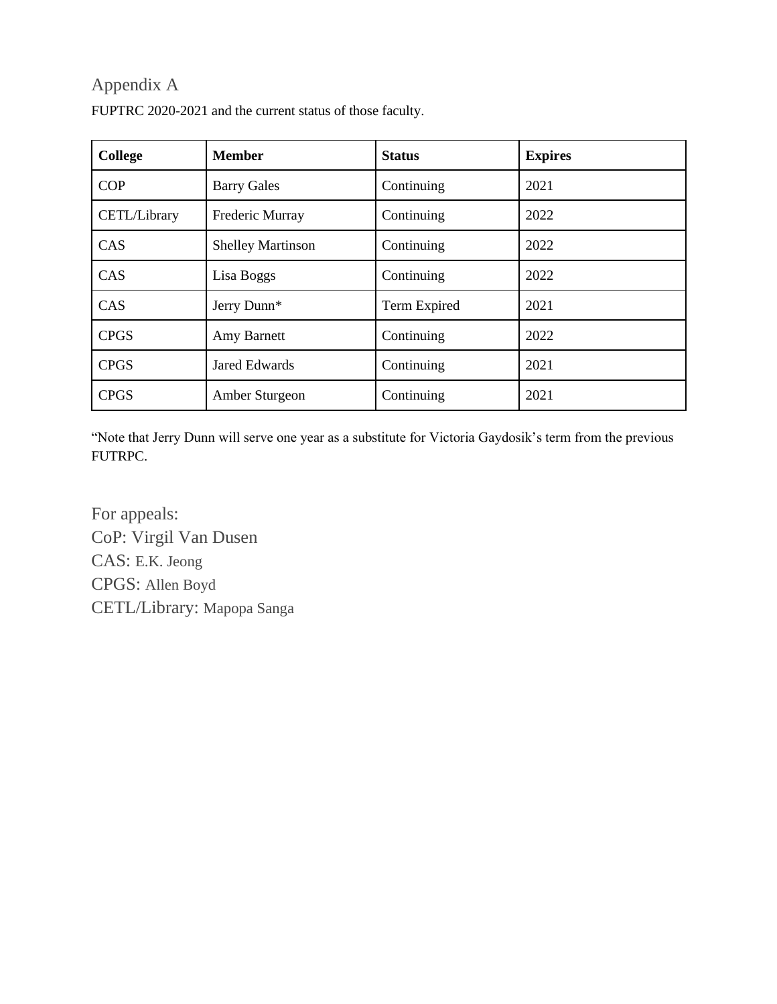# Appendix A

| <b>College</b> | <b>Member</b>            | <b>Status</b> | <b>Expires</b> |
|----------------|--------------------------|---------------|----------------|
| <b>COP</b>     | <b>Barry Gales</b>       | Continuing    | 2021           |
| CETL/Library   | Frederic Murray          | Continuing    | 2022           |
| CAS            | <b>Shelley Martinson</b> | Continuing    | 2022           |
| CAS            | Lisa Boggs               | Continuing    | 2022           |
| CAS            | Jerry Dunn*              | Term Expired  | 2021           |
| <b>CPGS</b>    | Amy Barnett              | Continuing    | 2022           |
| <b>CPGS</b>    | <b>Jared Edwards</b>     | Continuing    | 2021           |
| <b>CPGS</b>    | Amber Sturgeon           | Continuing    | 2021           |

FUPTRC 2020-2021 and the current status of those faculty.

"Note that Jerry Dunn will serve one year as a substitute for Victoria Gaydosik's term from the previous FUTRPC.

For appeals: CoP: Virgil Van Dusen CAS: E.K. Jeong CPGS: Allen Boyd CETL/Library: Mapopa Sanga